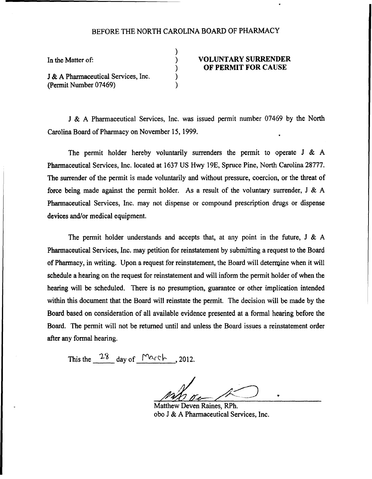## BEFORE THE NORTH CAROLINA BOARD OF PHARMACY

) ) ) ) )

In the Matter of:

J & A Pharmaceutical Services, Inc. (Permit Number 07469)

## VOLUNTARY SURRENDER OF PERMIT FOR CAUSE

J & A Pharmaceutical Services, lnc. was issued permit number 07469 by the North Carolina Board of Pharmacy on November 15, 1999.

The permit holder hereby voluntarily surrenders the permit to operate J & A Pharmaceutical Services, Inc. located at 1637 US Hwy 19E, Spruce Pine, North Carolina 28777. The surrender of the permit is made voluntarily and without pressure, coercion, or the threat of force being made against the permit holder. As a result of the voluntary surrender, J & A Pharmaceutical Services, Inc. may not dispense or compound prescription drugs or dispense devices and/or medical equipment.

The permit holder understands and accepts that, at any point in the future, J & A Pharmaceutical Services, Inc. may petition for reinstatement by submitting a request to the Board of Pharmacy, in writing. Upon a request for reinstatement, the Board will determine when it will schedule a hearing on the request for reinstatement and will inform the permit holder of when the hearing will be scheduled. There is no presumption, guarantee or other implication intended within this document that the Board will reinstate the permit. The decision will be made by the Board based on consideration of all available evidence presented at a formal hearing before the Board. The permit will not be returned until and unless the Board issues a reinstatement order after any formal hearing.

This the  $^{28}$  day of March, 2012.

Matthew Deven Raines, RPh. obo J & A Pharmaceutical Services, Inc.